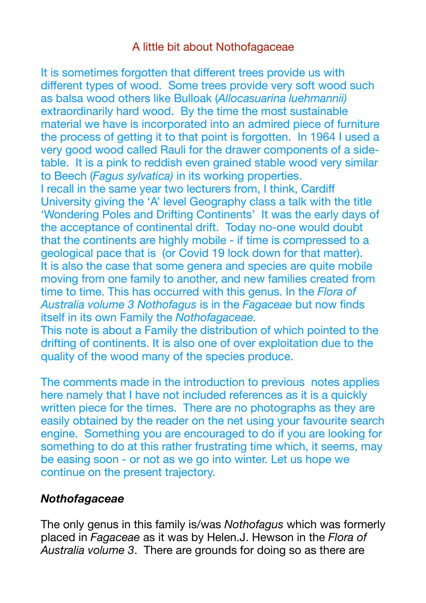## A little bit about Nothofagaceae

It is sometimes forgotten that different trees provide us with different types of wood. Some trees provide very soft wood such as balsa wood others like Bulloak (*Allocasuarina luehmannii)* extraordinarily hard wood. By the time the most sustainable material we have is incorporated into an admired piece of furniture the process of getting it to that point is forgotten. In 1964 I used a very good wood called Rauli for the drawer components of a sidetable. It is a pink to reddish even grained stable wood very similar to Beech (*Fagus sylvatica)* in its working properties.

I recall in the same year two lecturers from, I think, Cardiff University giving the 'A' level Geography class a talk with the title 'Wondering Poles and Drifting Continents' It was the early days of the acceptance of continental drift. Today no-one would doubt that the continents are highly mobile - if time is compressed to a geological pace that is (or Covid 19 lock down for that matter). It is also the case that some genera and species are quite mobile moving from one family to another, and new families created from time to time. This has occurred with this genus. In the *Flora of Australia volume 3 Nothofagus* is in the *Fagaceae* but now finds itself in its own Family the *Nothofagaceae.*

This note is about a Family the distribution of which pointed to the drifting of continents. It is also one of over exploitation due to the quality of the wood many of the species produce.

The comments made in the introduction to previous notes applies here namely that I have not included references as it is a quickly written piece for the times. There are no photographs as they are easily obtained by the reader on the net using your favourite search engine. Something you are encouraged to do if you are looking for something to do at this rather frustrating time which, it seems, may be easing soon - or not as we go into winter. Let us hope we continue on the present trajectory.

## *Nothofagaceae*

The only genus in this family is/was *Nothofagus* which was formerly placed in *Fagaceae* as it was by Helen.J. Hewson in the *Flora of Australia volume 3*. There are grounds for doing so as there are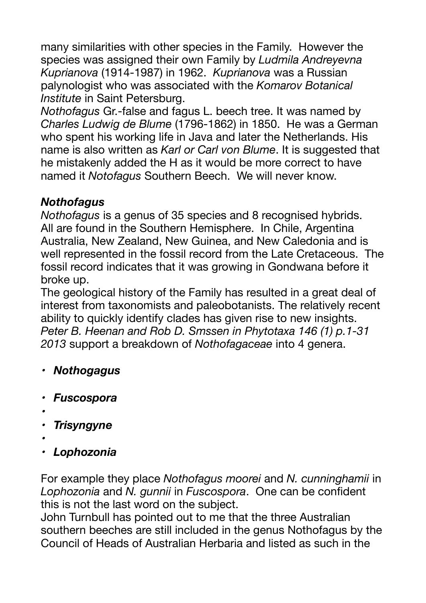many similarities with other species in the Family. However the species was assigned their own Family by *Ludmila Andreyevna Kuprianova* (1914-1987) in 1962. *Kuprianova* was a Russian palynologist who was associated with the *Komarov Botanical Institute* in Saint Petersburg.

*Nothofagus* Gr.-false and fagus L. beech tree. It was named by *Charles Ludwig de Blume* (1796-1862) in 1850. He was a German who spent his working life in Java and later the Netherlands. His name is also written as *Karl or Carl von Blume*. It is suggested that he mistakenly added the H as it would be more correct to have named it *Notofagus* Southern Beech. We will never know.

# *Nothofagus*

*Nothofagus* is a genus of 35 species and 8 recognised hybrids. All are found in the Southern Hemisphere. In Chile, Argentina Australia, New Zealand, New Guinea, and New Caledonia and is well represented in the fossil record from the Late Cretaceous. The fossil record indicates that it was growing in Gondwana before it broke up.

The geological history of the Family has resulted in a great deal of interest from taxonomists and paleobotanists. The relatively recent ability to quickly identify clades has given rise to new insights. *Peter B. Heenan and Rob D. Smssen in Phytotaxa 146 (1) p.1-31 2013* support a breakdown of *Nothofagaceae* into 4 genera.

- *• Nothogagus*
- *• Fuscospora*
- *•*
- *• Trisyngyne*
- *•*
- *• Lophozonia*

For example they place *Nothofagus moorei* and *N. cunninghamii* in *Lophozonia* and *N. gunnii* in *Fuscospora*. One can be confident this is not the last word on the subject.

John Turnbull has pointed out to me that the three Australian southern beeches are still included in the genus Nothofagus by the Council of Heads of Australian Herbaria and listed as such in the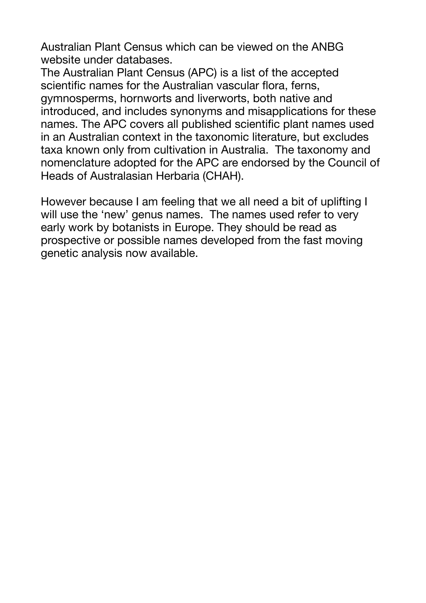Australian Plant Census which can be viewed on the ANBG website under databases.

The Australian Plant Census (APC) is a list of the accepted scientific names for the Australian vascular flora, ferns, gymnosperms, hornworts and liverworts, both native and introduced, and includes synonyms and misapplications for these names. The APC covers all published scientific plant names used in an Australian context in the taxonomic literature, but excludes taxa known only from cultivation in Australia. The taxonomy and nomenclature adopted for the APC are endorsed by the Council of Heads of Australasian Herbaria (CHAH).

However because I am feeling that we all need a bit of uplifting I will use the 'new' genus names. The names used refer to very early work by botanists in Europe. They should be read as prospective or possible names developed from the fast moving genetic analysis now available.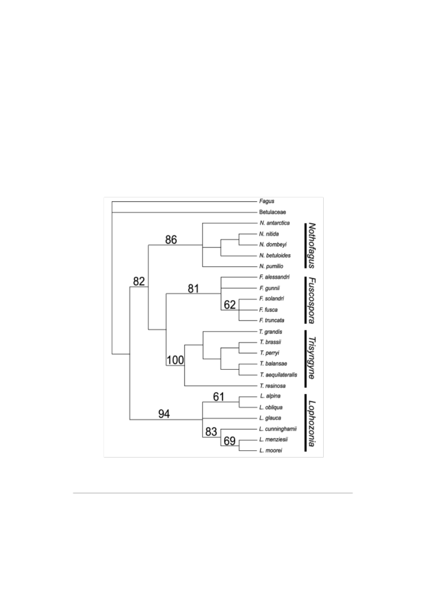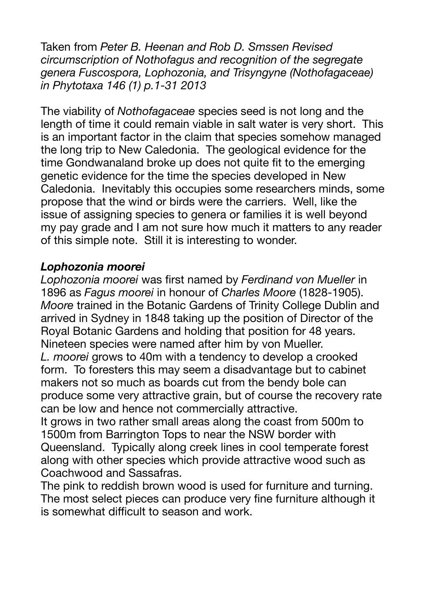Taken from *Peter B. Heenan and Rob D. Smssen Revised circumscription of Nothofagus and recognition of the segregate genera Fuscospora, Lophozonia, and Trisyngyne (Nothofagaceae) in Phytotaxa 146 (1) p.1-31 2013* 

The viability of *Nothofagaceae* species seed is not long and the length of time it could remain viable in salt water is very short. This is an important factor in the claim that species somehow managed the long trip to New Caledonia. The geological evidence for the time Gondwanaland broke up does not quite fit to the emerging genetic evidence for the time the species developed in New Caledonia. Inevitably this occupies some researchers minds, some propose that the wind or birds were the carriers. Well, like the issue of assigning species to genera or families it is well beyond my pay grade and I am not sure how much it matters to any reader of this simple note. Still it is interesting to wonder.

## *Lophozonia moorei*

*Lophozonia moorei* was first named by *Ferdinand von Mueller* in 1896 as *Fagus moorei* in honour of *Charles Moore* (1828-1905). *Moore* trained in the Botanic Gardens of Trinity College Dublin and arrived in Sydney in 1848 taking up the position of Director of the Royal Botanic Gardens and holding that position for 48 years. Nineteen species were named after him by von Mueller.

*L. moorei* grows to 40m with a tendency to develop a crooked form. To foresters this may seem a disadvantage but to cabinet makers not so much as boards cut from the bendy bole can produce some very attractive grain, but of course the recovery rate can be low and hence not commercially attractive.

It grows in two rather small areas along the coast from 500m to 1500m from Barrington Tops to near the NSW border with Queensland. Typically along creek lines in cool temperate forest along with other species which provide attractive wood such as Coachwood and Sassafras.

The pink to reddish brown wood is used for furniture and turning. The most select pieces can produce very fine furniture although it is somewhat difficult to season and work.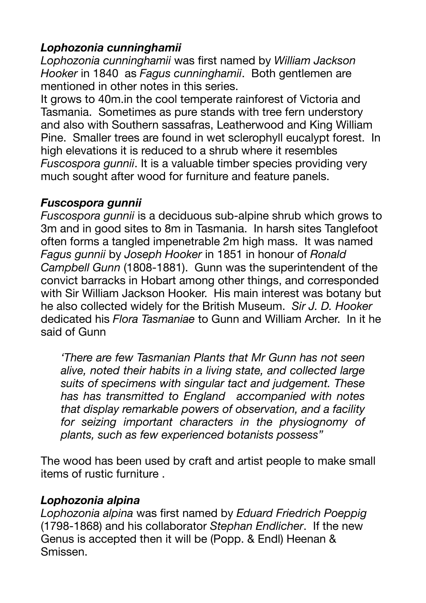## *Lophozonia cunninghamii*

*Lophozonia cunninghamii* was first named by *William Jackson Hooker* in 1840 as *Fagus cunninghamii*. Both gentlemen are mentioned in other notes in this series.

It grows to 40m.in the cool temperate rainforest of Victoria and Tasmania. Sometimes as pure stands with tree fern understory and also with Southern sassafras, Leatherwood and King William Pine. Smaller trees are found in wet sclerophyll eucalypt forest. In high elevations it is reduced to a shrub where it resembles *Fuscospora gunnii*. It is a valuable timber species providing very much sought after wood for furniture and feature panels.

#### *Fuscospora gunnii*

*Fuscospora gunnii* is a deciduous sub-alpine shrub which grows to 3m and in good sites to 8m in Tasmania. In harsh sites Tanglefoot often forms a tangled impenetrable 2m high mass. It was named *Fagus gunnii* by *Joseph Hooker* in 1851 in honour of *Ronald Campbell Gunn* (1808-1881). Gunn was the superintendent of the convict barracks in Hobart among other things, and corresponded with Sir William Jackson Hooker. His main interest was botany but he also collected widely for the British Museum. *Sir J. D. Hooker* dedicated his *Flora Tasmaniae* to Gunn and William Archer. In it he said of Gunn

*'There are few Tasmanian Plants that Mr Gunn has not seen alive, noted their habits in a living state, and collected large suits of specimens with singular tact and judgement. These has has transmitted to England accompanied with notes that display remarkable powers of observation, and a facility for seizing important characters in the physiognomy of plants, such as few experienced botanists possess"* 

The wood has been used by craft and artist people to make small items of rustic furniture .

#### *Lophozonia alpina*

*Lophozonia alpina* was first named by *Eduard Friedrich Poeppig*  (1798-1868) and his collaborator *Stephan Endlicher*. If the new Genus is accepted then it will be (Popp. & Endl) Heenan & Smissen.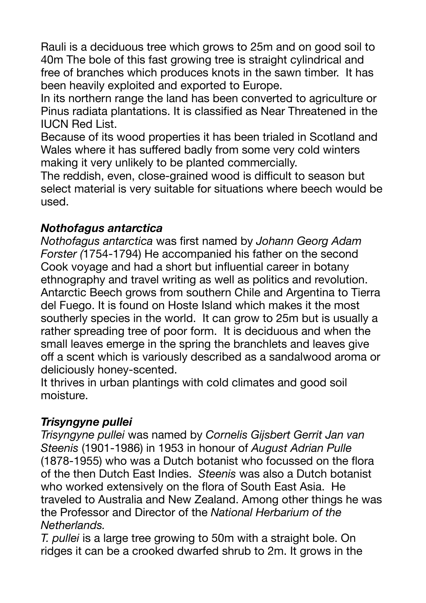Rauli is a deciduous tree which grows to 25m and on good soil to 40m The bole of this fast growing tree is straight cylindrical and free of branches which produces knots in the sawn timber. It has been heavily exploited and exported to Europe.

In its northern range the land has been converted to agriculture or Pinus radiata plantations. It is classified as Near Threatened in the IUCN Red List.

Because of its wood properties it has been trialed in Scotland and Wales where it has suffered badly from some very cold winters making it very unlikely to be planted commercially.

The reddish, even, close-grained wood is difficult to season but select material is very suitable for situations where beech would be used.

## *Nothofagus antarctica*

*Nothofagus antarctica* was first named by *Johann Georg Adam Forster (*1754-1794) He accompanied his father on the second Cook voyage and had a short but influential career in botany ethnography and travel writing as well as politics and revolution. Antarctic Beech grows from southern Chile and Argentina to Tierra del Fuego. It is found on Hoste Island which makes it the most southerly species in the world. It can grow to 25m but is usually a rather spreading tree of poor form. It is deciduous and when the small leaves emerge in the spring the branchlets and leaves give off a scent which is variously described as a sandalwood aroma or deliciously honey-scented.

It thrives in urban plantings with cold climates and good soil moisture.

## *Trisyngyne pullei*

*Trisyngyne pullei* was named by *Cornelis Gijsbert Gerrit Jan van Steenis* (1901-1986) in 1953 in honour of *August Adrian Pulle*  (1878-1955) who was a Dutch botanist who focussed on the flora of the then Dutch East Indies. *Steenis* was also a Dutch botanist who worked extensively on the flora of South East Asia. He traveled to Australia and New Zealand. Among other things he was the Professor and Director of the *National Herbarium of the Netherlands.* 

*T. pullei* is a large tree growing to 50m with a straight bole. On ridges it can be a crooked dwarfed shrub to 2m. It grows in the